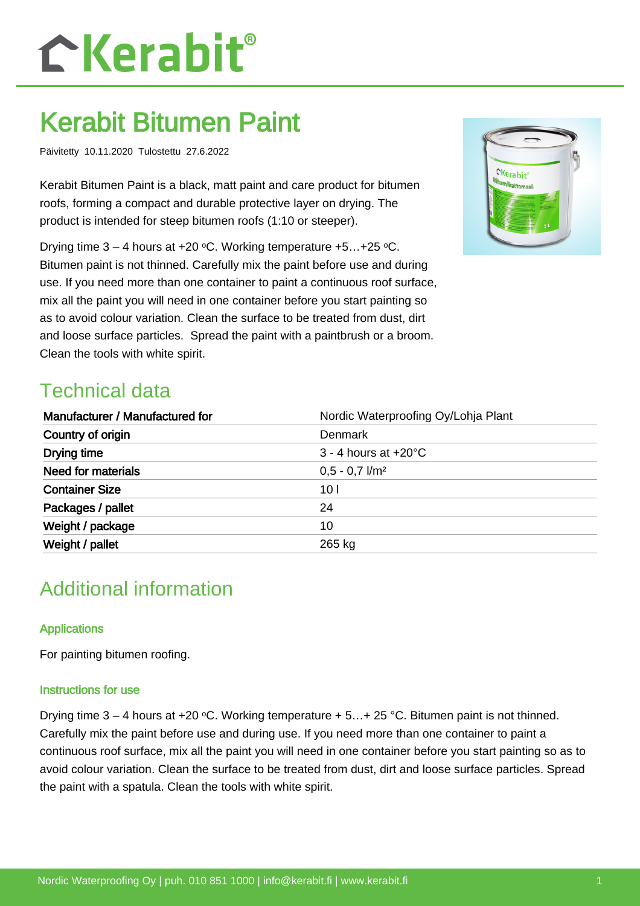# CKerabit®

## Kerabit Bitumen Paint

Päivitetty 10.11.2020 Tulostettu 27.6.2022

Kerabit Bitumen Paint is a black, matt paint and care product for bitumen roofs, forming a compact and durable protective layer on drying. The product is intended for steep bitumen roofs (1:10 or steeper).

Drying time  $3 - 4$  hours at  $+20$  °C. Working temperature  $+5...+25$  °C. Bitumen paint is not thinned. Carefully mix the paint before use and during use. If you need more than one container to paint a continuous roof surface, mix all the paint you will need in one container before you start painting so as to avoid colour variation. Clean the surface to be treated from dust, dirt and loose surface particles. Spread the paint with a paintbrush or a broom. Clean the tools with white spirit.

### Technical data

| Manufacturer / Manufactured for | Nordic Waterproofing Oy/Lohja Plant |
|---------------------------------|-------------------------------------|
| Country of origin               | Denmark                             |
| Drying time                     | $3 - 4$ hours at $+20^{\circ}$ C    |
| <b>Need for materials</b>       | $0.5 - 0.7$ $1/m2$                  |
| <b>Container Size</b>           | 10 <sub>l</sub>                     |
| Packages / pallet               | 24                                  |
| Weight / package                | 10                                  |
| Weight / pallet                 | 265 kg                              |

### Additional information

#### **Applications**

For painting bitumen roofing.

#### Instructions for use

Drying time  $3 - 4$  hours at +20 °C. Working temperature + 5... + 25 °C. Bitumen paint is not thinned. Carefully mix the paint before use and during use. If you need more than one container to paint a continuous roof surface, mix all the paint you will need in one container before you start painting so as to avoid colour variation. Clean the surface to be treated from dust, dirt and loose surface particles. Spread the paint with a spatula. Clean the tools with white spirit.